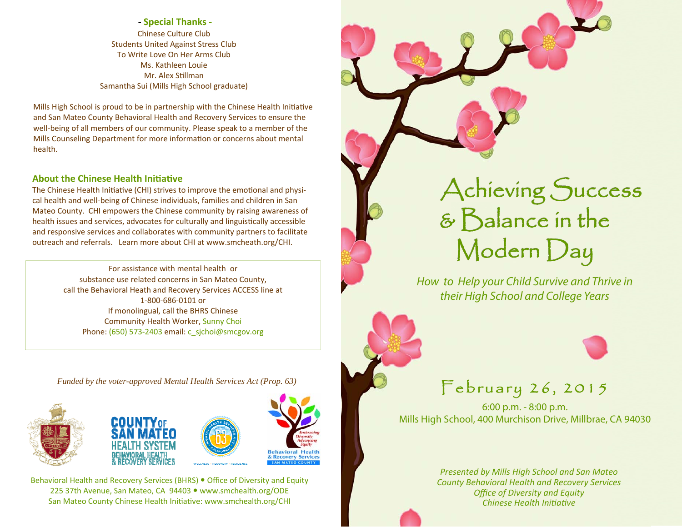**‐ Special Thanks ‐** Chinese Culture ClubStudents United Against Stress Club To Write Love On Her Arms Club Ms. Kathleen Louie Mr. Alex SƟllmanSamantha Sui (Mills High School graduate)

Mills High School is proud to be in partnership with the Chinese Health Initiative and San Mateo County Behavioral Health and Recovery Services to ensure the well-being of all members of our community. Please speak to <sup>a</sup> member of the Mills Counseling Department for more information or concerns about mental health.

## **About the Chinese Health Initiative**

The Chinese Health Initiative (CHI) strives to improve the emotional and physical health and well-being of Chinese individuals, families and children in San Mateo County. CHI empowers the Chinese community by raising awareness of health issues and services, advocates for culturally and linguistically accessible and responsive services and collaborates with community partners to facilitate outreach and referrals. Learn more about CHI at www.smcheath.org/CHI.

> For assistance with mental health or substance use related concerns in San Mateo County, call the Behavioral Heath and Recovery Services ACCESS line at 1-800-686-0101 or If monolingual, call the BHRS Chinese Community Health Worker, Sunny Choi Phone: (650) 573-2403 email: c\_sjchoi@smcgov.org

*Funded by the voter-approved Mental Health Services Act (Prop. 63)* 







**Behavioral Health Recovery Services** 

Behavioral Health and Recovery Services (BHRS) • Office of Diversity and Equity 225 37th Avenue, San Mateo, CA 94403 www.smchealth.org/ODE San Mateo County Chinese Health Initiative: www.smchealth.org/CHI



How to Help your Child Survive and Thrive in their High School and College Years



6:00 p.m. - 8:00 p.m. Mills High School, 400 Murchison Drive, Millbrae, CA 94030

> *Presented by Mills High School and San Mateo County Behavioral Health and Recovery Services Office of Diversity and Equity Chinese Health IniƟaƟve*